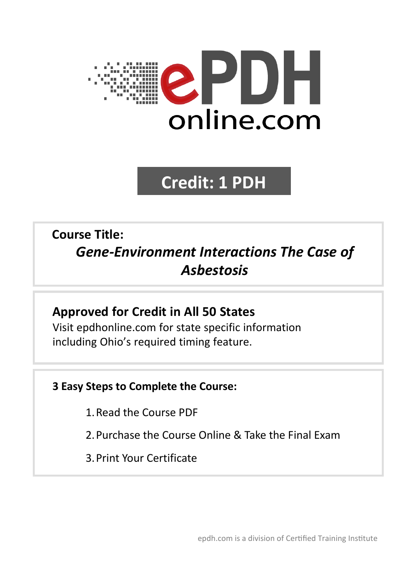

# **Credit: 1 PDH**

## **Course Title:** *Gene-Environment Interactions The Case of Asbestosis*

## **Approved for Credit in All 50 States**

Visit epdhonline.com for state specific information including Ohio's required timing feature.

### **3 Easy Steps to Complete the Course:**

- 1.Read the Course PDF
- 2.Purchase the Course Online & Take the Final Exam
- 3.Print Your Certificate

epdh.com is a division of Certified Training Institute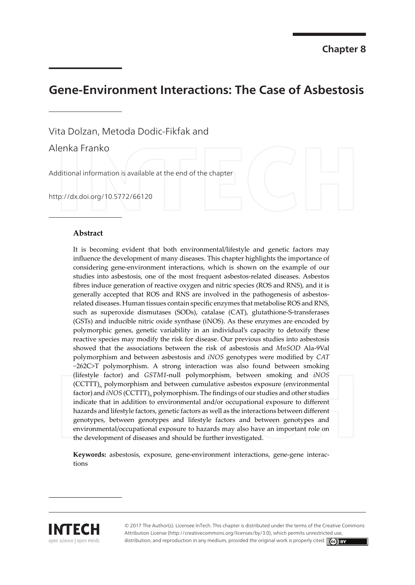## **Gene-Environment Interactions: The Case of Asbestosis**

Vita Dolzan, Metoda Dodic-Fikfak and

Alenka Franko

Additional information is available at the end of the chapter

http://dx.doi.org/10.5772/66120

#### **Abstract**

It is becoming evident that both environmental/lifestyle and genetic factors may influence the development of many diseases. This chapter highlights the importance of considering gene-environment interactions, which is shown on the example of our studies into asbestosis, one of the most frequent asbestos-related diseases. Asbestos fibres induce generation of reactive oxygen and nitric species (ROS and RNS), and it is generally accepted that ROS and RNS are involved in the pathogenesis of asbestosrelated diseases. Human tissues contain specific enzymes that metabolise ROS and RNS, such as superoxide dismutases (SODs), catalase (CAT), glutathione-S-transferases (GSTs) and inducible nitric oxide synthase (iNOS). As these enzymes are encoded by polymorphic genes, genetic variability in an individual's capacity to detoxify these reactive species may modify the risk for disease. Our previous studies into asbestosis showed that the associations between the risk of asbestosis and MnSOD Ala-9Val polymorphism and between asbestosis and iNOS genotypes were modified by CAT -262C>T polymorphism. A strong interaction was also found between smoking (lifestyle factor) and GSTM1-null polymorphism, between smoking and iNOS (CCTTT)<sub>n</sub> polymorphism and between cumulative asbestos exposure (environmental factor) and *iNOS* (CCTTT)<sub>n</sub> polymorphism. The findings of our studies and other studies indicate that in addition to environmental and/or occupational exposure to different hazards and lifestyle factors, genetic factors as well as the interactions between different genotypes, between genotypes and lifestyle factors and between genotypes and environmental/occupational exposure to hazards may also have an important role on the development of diseases and should be further investigated.

Keywords: asbestosis, exposure, gene-environment interactions, gene-gene interactions



© 2017 The Author(s). Licensee InTech. This chapter is distributed under the terms of the Creative Commons Attribution License (http://creativecommons.org/licenses/by/3.0), which permits unrestricted use distribution, and reproduction in any medium, provided the original work is properly cited. [cc] BY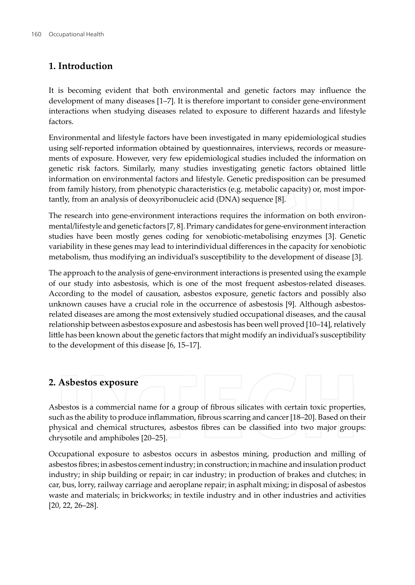#### 1. Introduction

It is becoming evident that both environmental and genetic factors may influence the development of many diseases [1–7]. It is therefore important to consider gene-environment interactions when studying diseases related to exposure to different hazards and lifestyle factors.

Environmental and lifestyle factors have been investigated in many epidemiological studies using self-reported information obtained by questionnaires, interviews, records or measurements of exposure. However, very few epidemiological studies included the information on genetic risk factors. Similarly, many studies investigating genetic factors obtained little information on environmental factors and lifestyle. Genetic predisposition can be presumed from family history, from phenotypic characteristics (e.g. metabolic capacity) or, most importantly, from an analysis of deoxyribonucleic acid (DNA) sequence [8].

The research into gene-environment interactions requires the information on both environmental/lifestyle and genetic factors [7, 8]. Primary candidates for gene-environment interaction studies have been mostly genes coding for xenobiotic-metabolising enzymes [3]. Genetic variability in these genes may lead to interindividual differences in the capacity for xenobiotic metabolism, thus modifying an individual's susceptibility to the development of disease [3].

The approach to the analysis of gene-environment interactions is presented using the example of our study into asbestosis, which is one of the most frequent asbestos-related diseases. According to the model of causation, asbestos exposure, genetic factors and possibly also unknown causes have a crucial role in the occurrence of asbestosis [9]. Although asbestosrelated diseases are among the most extensively studied occupational diseases, and the causal relationship between asbestos exposure and asbestosis has been well proved [10–14], relatively little has been known about the genetic factors that might modify an individual's susceptibility to the development of this disease [6, 15-17].

#### 2. Asbestos exposure

Asbestos is a commercial name for a group of fibrous silicates with certain toxic properties, such as the ability to produce inflammation, fibrous scarring and cancer [18-20]. Based on their physical and chemical structures, asbestos fibres can be classified into two major groups: chrysotile and amphiboles [20-25].

Occupational exposure to asbestos occurs in asbestos mining, production and milling of asbestos fibres; in asbestos cement industry; in construction; in machine and insulation product industry; in ship building or repair; in car industry; in production of brakes and clutches; in car, bus, lorry, railway carriage and aeroplane repair; in asphalt mixing; in disposal of asbestos waste and materials; in brickworks; in textile industry and in other industries and activities  $[20, 22, 26 - 28]$ .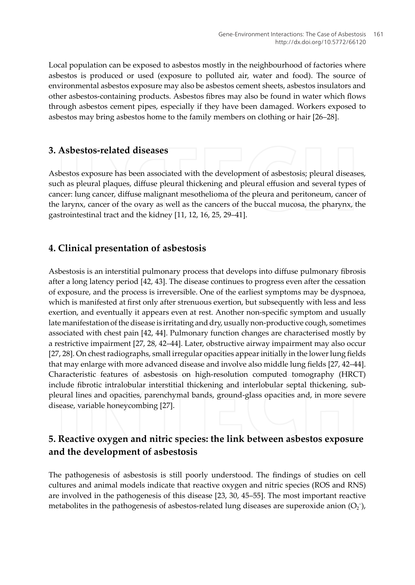Local population can be exposed to asbestos mostly in the neighbourhood of factories where asbestos is produced or used (exposure to polluted air, water and food). The source of environmental asbestos exposure may also be asbestos cement sheets, asbestos insulators and other asbestos-containing products. Asbestos fibres may also be found in water which flows through asbestos cement pipes, especially if they have been damaged. Workers exposed to asbestos may bring asbestos home to the family members on clothing or hair [26–28].

#### 3. Asbestos-related diseases

Asbestos exposure has been associated with the development of asbestosis; pleural diseases, such as pleural plaques, diffuse pleural thickening and pleural effusion and several types of cancer: lung cancer, diffuse malignant mesothelioma of the pleura and peritoneum, cancer of the larynx, cancer of the ovary as well as the cancers of the buccal mucosa, the pharynx, the gastrointestinal tract and the kidney [11, 12, 16, 25, 29-41].

#### 4. Clinical presentation of asbestosis

Asbestosis is an interstitial pulmonary process that develops into diffuse pulmonary fibrosis after a long latency period [42, 43]. The disease continues to progress even after the cessation of exposure, and the process is irreversible. One of the earliest symptoms may be dyspnoea, which is manifested at first only after strenuous exertion, but subsequently with less and less exertion, and eventually it appears even at rest. Another non-specific symptom and usually late manifestation of the disease is irritating and dry, usually non-productive cough, sometimes associated with chest pain [42, 44]. Pulmonary function changes are characterised mostly by a restrictive impairment [27, 28, 42-44]. Later, obstructive airway impairment may also occur [27, 28]. On chest radiographs, small irregular opacities appear initially in the lower lung fields that may enlarge with more advanced disease and involve also middle lung fields [27, 42–44]. Characteristic features of asbestosis on high-resolution computed tomography (HRCT) include fibrotic intralobular interstitial thickening and interlobular septal thickening, subpleural lines and opacities, parenchymal bands, ground-glass opacities and, in more severe disease, variable honeycombing [27].

#### 5. Reactive oxygen and nitric species: the link between asbestos exposure and the development of asbestosis

The pathogenesis of asbestosis is still poorly understood. The findings of studies on cell cultures and animal models indicate that reactive oxygen and nitric species (ROS and RNS) are involved in the pathogenesis of this disease [23, 30, 45–55]. The most important reactive metabolites in the pathogenesis of asbestos-related lung diseases are superoxide anion  $(O_2^-)$ ,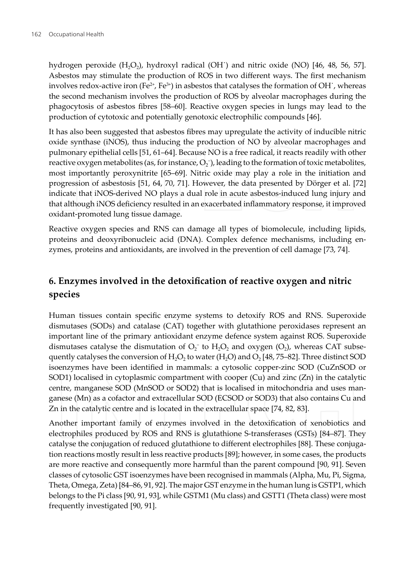hydrogen peroxide (H<sub>2</sub>O<sub>2</sub>), hydroxyl radical (OH) and nitric oxide (NO) [46, 48, 56, 57]. Asbestos may stimulate the production of ROS in two different ways. The first mechanism involves redox-active iron (Fe<sup>2+</sup>, Fe<sup>3+</sup>) in asbestos that catalyses the formation of OH<sup> $\cdot$ </sup>, whereas the second mechanism involves the production of ROS by alveolar macrophages during the phagocytosis of asbestos fibres [58–60]. Reactive oxygen species in lungs may lead to the production of cytotoxic and potentially genotoxic electrophilic compounds [46].

It has also been suggested that asbestos fibres may upregulate the activity of inducible nitric oxide synthase (iNOS), thus inducing the production of NO by alveolar macrophages and pulmonary epithelial cells [51, 61–64]. Because NO is a free radical, it reacts readily with other reactive oxygen metabolites (as, for instance,  $O_2$ ), leading to the formation of toxic metabolites, most importantly peroxynitrite [65–69]. Nitric oxide may play a role in the initiation and progression of asbestosis [51, 64, 70, 71]. However, the data presented by Dörger et al. [72] indicate that iNOS-derived NO plays a dual role in acute asbestos-induced lung injury and that although iNOS deficiency resulted in an exacerbated inflammatory response, it improved oxidant-promoted lung tissue damage.

Reactive oxygen species and RNS can damage all types of biomolecule, including lipids, proteins and deoxyribonucleic acid (DNA). Complex defence mechanisms, including enzymes, proteins and antioxidants, are involved in the prevention of cell damage [73, 74].

#### 6. Enzymes involved in the detoxification of reactive oxygen and nitric species

Human tissues contain specific enzyme systems to detoxify ROS and RNS. Superoxide dismutases (SODs) and catalase (CAT) together with glutathione peroxidases represent an important line of the primary antioxidant enzyme defence system against ROS. Superoxide dismutases catalyse the dismutation of  $O_2^-$  to  $H_2O_2$  and oxygen (O<sub>2</sub>), whereas CAT subsequently catalyses the conversion of  $H_2O_2$  to water (H<sub>2</sub>O) and  $O_2$  [48, 75–82]. Three distinct SOD isoenzymes have been identified in mammals: a cytosolic copper-zinc SOD (CuZnSOD or SOD1) localised in cytoplasmic compartment with cooper  $(Cu)$  and zinc  $(Zn)$  in the catalytic centre, manganese SOD (MnSOD or SOD2) that is localised in mitochondria and uses manganese (Mn) as a cofactor and extracellular SOD (ECSOD or SOD3) that also contains Cu and Zn in the catalytic centre and is located in the extracellular space [74, 82, 83].

Another important family of enzymes involved in the detoxification of xenobiotics and electrophiles produced by ROS and RNS is glutathione S-transferases (GSTs) [84–87]. They catalyse the conjugation of reduced glutathione to different electrophiles [88]. These conjugation reactions mostly result in less reactive products [89]; however, in some cases, the products are more reactive and consequently more harmful than the parent compound [90, 91]. Seven classes of cytosolic GST isoenzymes have been recognised in mammals (Alpha, Mu, Pi, Sigma, Theta, Omega, Zeta) [84–86, 91, 92]. The major GST enzyme in the human lung is GSTP1, which belongs to the Pi class [90, 91, 93], while GSTM1 (Mu class) and GSTT1 (Theta class) were most frequently investigated [90, 91].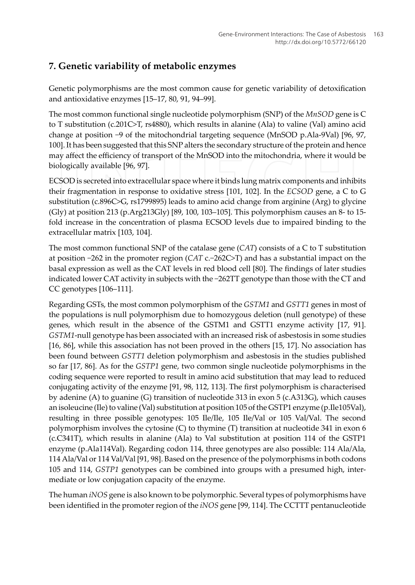#### 7. Genetic variability of metabolic enzymes

Genetic polymorphisms are the most common cause for genetic variability of detoxification and antioxidative enzymes [15-17, 80, 91, 94-99].

The most common functional single nucleotide polymorphism (SNP) of the  $MnSOD$  gene is C to T substitution (c.201C>T, rs4880), which results in alanine (Ala) to valine (Val) amino acid change at position  $-9$  of the mitochondrial targeting sequence (MnSOD p.Ala-9Val) [96, 97, 100]. It has been suggested that this SNP alters the secondary structure of the protein and hence may affect the efficiency of transport of the MnSOD into the mitochondria, where it would be biologically available [96, 97].

ECSOD is secreted into extracellular space where it binds lung matrix components and inhibits their fragmentation in response to oxidative stress [101, 102]. In the ECSOD gene, a C to G substitution (c.896C>G, rs1799895) leads to amino acid change from arginine (Arg) to glycine (Gly) at position 213 (p.Arg213Gly) [89, 100, 103–105]. This polymorphism causes an 8- to 15fold increase in the concentration of plasma ECSOD levels due to impaired binding to the extracellular matrix [103, 104].

The most common functional SNP of the catalase gene  $(CAT)$  consists of a C to T substitution at position  $-262$  in the promoter region (CAT c.-262C>T) and has a substantial impact on the basal expression as well as the CAT levels in red blood cell [80]. The findings of later studies indicated lower CAT activity in subjects with the -262TT genotype than those with the CT and CC genotypes [106-111].

Regarding GSTs, the most common polymorphism of the GSTM1 and GSTT1 genes in most of the populations is null polymorphism due to homozygous deletion (null genotype) of these genes, which result in the absence of the GSTM1 and GSTT1 enzyme activity [17, 91]. GSTM1-null genotype has been associated with an increased risk of asbestosis in some studies [16, 86], while this association has not been proved in the others [15, 17]. No association has been found between GSTT1 deletion polymorphism and asbestosis in the studies published so far [17, 86]. As for the GSTP1 gene, two common single nucleotide polymorphisms in the coding sequence were reported to result in amino acid substitution that may lead to reduced conjugating activity of the enzyme [91, 98, 112, 113]. The first polymorphism is characterised by adenine (A) to guanine (G) transition of nucleotide 313 in exon 5 (c.A313G), which causes an isoleucine (Ile) to valine (Val) substitution at position 105 of the GSTP1 enzyme (p.Ile105Val), resulting in three possible genotypes: 105 Ile/Ile, 105 Ile/Val or 105 Val/Val. The second polymorphism involves the cytosine (C) to thymine (T) transition at nucleotide 341 in exon 6 (c.C341T), which results in alanine (Ala) to Val substitution at position 114 of the GSTP1 enzyme (p.Ala114Val). Regarding codon 114, three genotypes are also possible: 114 Ala/Ala, 114 Ala/Val or 114 Val/Val [91, 98]. Based on the presence of the polymorphisms in both codons 105 and 114, GSTP1 genotypes can be combined into groups with a presumed high, intermediate or low conjugation capacity of the enzyme.

The human *iNOS* gene is also known to be polymorphic. Several types of polymorphisms have been identified in the promoter region of the *iNOS* gene [99, 114]. The CCTTT pentanucleotide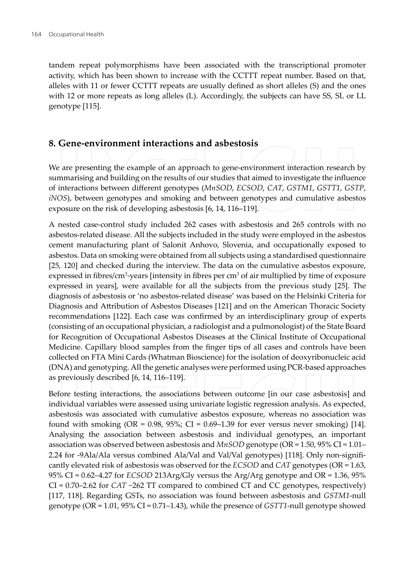tandem repeat polymorphisms have been associated with the transcriptional promoter activity, which has been shown to increase with the CCTTT repeat number. Based on that, alleles with 11 or fewer CCTTT repeats are usually defined as short alleles (S) and the ones with 12 or more repeats as long alleles (L). Accordingly, the subjects can have SS, SL or LL genotype [115].

#### 8. Gene-environment interactions and asbestosis

We are presenting the example of an approach to gene-environment interaction research by summarising and building on the results of our studies that aimed to investigate the influence of interactions between different genotypes (MnSOD, ECSOD, CAT, GSTM1, GSTT1, GSTP, iNOS), between genotypes and smoking and between genotypes and cumulative asbestos exposure on the risk of developing asbestosis [6, 14, 116-119].

A nested case-control study included 262 cases with asbestosis and 265 controls with no asbestos-related disease. All the subjects included in the study were employed in the asbestos cement manufacturing plant of Salonit Anhovo, Slovenia, and occupationally exposed to asbestos. Data on smoking were obtained from all subjects using a standardised questionnaire [25, 120] and checked during the interview. The data on the cumulative asbestos exposure, expressed in fibres/ $cm<sup>3</sup>$ -years [intensity in fibres per  $cm<sup>3</sup>$  of air multiplied by time of exposure expressed in years], were available for all the subjects from the previous study [25]. The diagnosis of asbestosis or 'no asbestos-related disease' was based on the Helsinki Criteria for Diagnosis and Attribution of Asbestos Diseases [121] and on the American Thoracic Society recommendations [122]. Each case was confirmed by an interdisciplinary group of experts (consisting of an occupational physician, a radiologist and a pulmonologist) of the State Board for Recognition of Occupational Asbestos Diseases at the Clinical Institute of Occupational Medicine. Capillary blood samples from the finger tips of all cases and controls have been collected on FTA Mini Cards (Whatman Bioscience) for the isolation of deoxyribonucleic acid (DNA) and genotyping. All the genetic analyses were performed using PCR-based approaches as previously described [6, 14, 116-119].

Before testing interactions, the associations between outcome [in our case asbestosis] and individual variables were assessed using univariate logistic regression analysis. As expected, asbestosis was associated with cumulative asbestos exposure, whereas no association was found with smoking (OR =  $0.98$ ,  $95\%$ ; CI =  $0.69-1.39$  for ever versus never smoking) [14]. Analysing the association between asbestosis and individual genotypes, an important association was observed between asbestosis and  $MnSOD$  genotype (OR = 1.50, 95% CI = 1.01– 2.24 for -9Ala/Ala versus combined Ala/Val and Val/Val genotypes) [118]. Only non-significantly elevated risk of asbestosis was observed for the *ECSOD* and *CAT* genotypes ( $OR = 1.63$ , 95% CI = 0.62–4.27 for *ECSOD* 213Arg/Gly versus the Arg/Arg genotype and OR = 1.36, 95%  $CI = 0.70 - 2.62$  for  $CAT -262 TT$  compared to combined CT and CC genotypes, respectively) [117, 118]. Regarding GSTs, no association was found between asbestosis and GSTM1-null genotype (OR =  $1.01$ , 95% CI = 0.71–1.43), while the presence of *GSTT1*-null genotype showed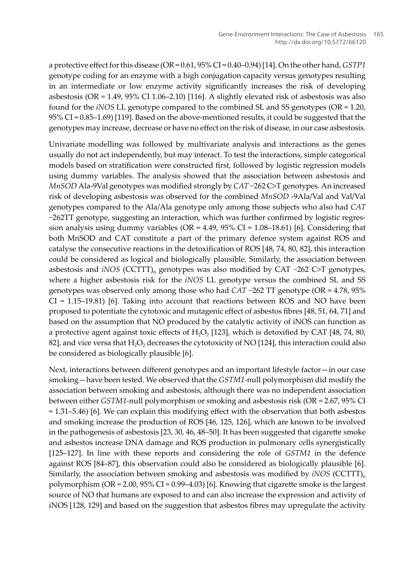a protective effect for this disease (OR = 0.61, 95% CI = 0.40–0.94) [14]. On the other hand, GSTP1 genotype coding for an enzyme with a high conjugation capacity versus genotypes resulting in an intermediate or low enzyme activity significantly increases the risk of developing asbestosis (OR =  $1.49$ ,  $95\%$  CI  $1.06-2.10$ ) [116]. A slightly elevated risk of asbestosis was also found for the *iNOS* LL genotype compared to the combined SL and SS genotypes ( $OR = 1.20$ )  $95\%$  CI = 0.85–1.69) [119]. Based on the above-mentioned results, it could be suggested that the genotypes may increase, decrease or have no effect on the risk of disease, in our case asbestosis.

Univariate modelling was followed by multivariate analysis and interactions as the genes usually do not act independently, but may interact. To test the interactions, simple categorical models based on stratification were constructed first, followed by logistic regression models using dummy variables. The analysis showed that the association between asbestosis and MnSOD Ala-9Val genotypes was modified strongly by CAT-262 C>T genotypes. An increased risk of developing asbestosis was observed for the combined MnSOD-9Ala/Val and Val/Val genotypes compared to the Ala/Ala genotype only among those subjects who also had CAT  $-262TT$  genotype, suggesting an interaction, which was further confirmed by logistic regression analysis using dummy variables (OR =  $4.49$ ,  $95\%$  CI = 1.08-18.61) [6]. Considering that both MnSOD and CAT constitute a part of the primary defence system against ROS and catalyse the consecutive reactions in the detoxification of ROS [48, 74, 80, 82], this interaction could be considered as logical and biologically plausible. Similarly, the association between asbestosis and  $iNOS$  (CCTTT)<sub>n</sub> genotypes was also modified by CAT -262 C>T genotypes, where a higher asbestosis risk for the *iNOS* LL genotype versus the combined SL and SS genotypes was observed only among those who had  $CAT -262$  TT genotype (OR = 4.78, 95%)  $CI = 1.15-19.81$  [6]. Taking into account that reactions between ROS and NO have been proposed to potentiate the cytotoxic and mutagenic effect of asbestos fibres [48, 51, 64, 71] and based on the assumption that NO produced by the catalytic activity of iNOS can function as a protective agent against toxic effects of  $H_2O_2$  [123], which is detoxified by CAT [48, 74, 80, 82], and vice versa that H<sub>2</sub>O<sub>2</sub> decreases the cytotoxicity of NO [124], this interaction could also be considered as biologically plausible [6].

Next, interactions between different genotypes and an important lifestyle factor-in our case smoking-have been tested. We observed that the GSTM1-null polymorphism did modify the association between smoking and asbestosis, although there was no independent association between either GSTM1-null polymorphism or smoking and asbestosis risk (OR = 2.67, 95% CI  $= 1.31 - 5.46$  [6]. We can explain this modifying effect with the observation that both asbestos and smoking increase the production of ROS [46, 125, 126], which are known to be involved in the pathogenesis of asbestosis [23, 30, 46, 48-50]. It has been suggested that cigarette smoke and asbestos increase DNA damage and ROS production in pulmonary cells synergistically [125–127]. In line with these reports and considering the role of GSTM1 in the defence against ROS [84–87], this observation could also be considered as biologically plausible [6]. Similarly, the association between smoking and asbestosis was modified by  $iNOS$  (CCTTT)<sub>n</sub> polymorphism (OR =  $2.00$ ,  $95\%$  CI =  $0.99-4.03$ ) [6]. Knowing that cigarette smoke is the largest source of NO that humans are exposed to and can also increase the expression and activity of iNOS [128, 129] and based on the suggestion that asbestos fibres may upregulate the activity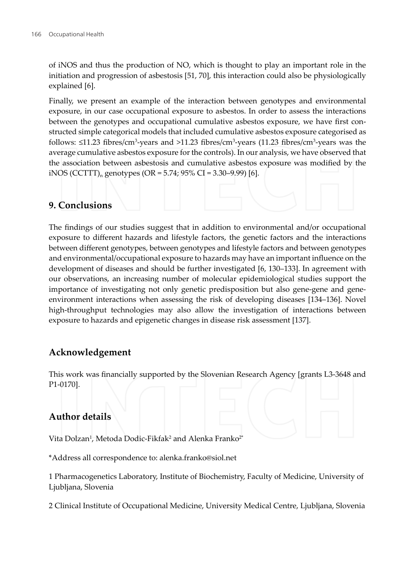of iNOS and thus the production of NO, which is thought to play an important role in the initiation and progression of asbestosis [51, 70], this interaction could also be physiologically explained [6].

Finally, we present an example of the interaction between genotypes and environmental exposure, in our case occupational exposure to asbestos. In order to assess the interactions between the genotypes and occupational cumulative asbestos exposure, we have first constructed simple categorical models that included cumulative asbestos exposure categorised as follows:  $\leq$ 11.23 fibres/cm<sup>3</sup>-years and >11.23 fibres/cm<sup>3</sup>-years (11.23 fibres/cm<sup>3</sup>-years was the average cumulative asbestos exposure for the controls). In our analysis, we have observed that the association between asbestosis and cumulative asbestos exposure was modified by the iNOS (CCTTT)<sub>n</sub> genotypes (OR = 5.74; 95% CI = 3.30–9.99) [6].

#### 9. Conclusions

The findings of our studies suggest that in addition to environmental and/or occupational exposure to different hazards and lifestyle factors, the genetic factors and the interactions between different genotypes, between genotypes and lifestyle factors and between genotypes and environmental/occupational exposure to hazards may have an important influence on the development of diseases and should be further investigated [6, 130–133]. In agreement with our observations, an increasing number of molecular epidemiological studies support the importance of investigating not only genetic predisposition but also gene-gene and geneenvironment interactions when assessing the risk of developing diseases [134-136]. Novel high-throughput technologies may also allow the investigation of interactions between exposure to hazards and epigenetic changes in disease risk assessment [137].

#### Acknowledgement

This work was financially supported by the Slovenian Research Agency [grants L3-3648 and P1-0170].

#### **Author details**

Vita Dolzan<sup>1</sup>, Metoda Dodic-Fikfak<sup>2</sup> and Alenka Franko<sup>2\*</sup>

\*Address all correspondence to: alenka.franko@siol.net

1 Pharmacogenetics Laboratory, Institute of Biochemistry, Faculty of Medicine, University of Ljubljana, Slovenia

2 Clinical Institute of Occupational Medicine, University Medical Centre, Ljubljana, Slovenia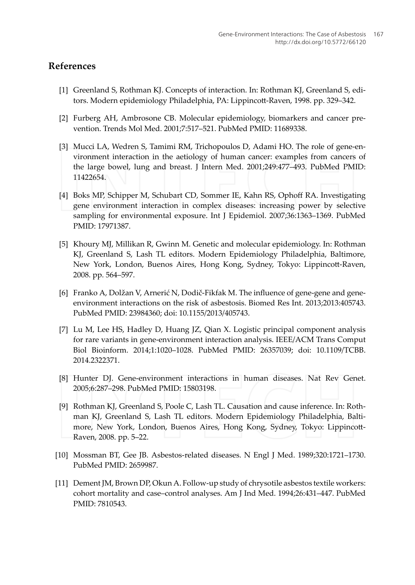#### **References**

- [1] Greenland S, Rothman KJ. Concepts of interaction. In: Rothman KJ, Greenland S, editors. Modern epidemiology Philadelphia, PA: Lippincott-Raven, 1998. pp. 329-342.
- [2] Furberg AH, Ambrosone CB. Molecular epidemiology, biomarkers and cancer prevention. Trends Mol Med. 2001;7:517-521. PubMed PMID: 11689338.
- [3] Mucci LA, Wedren S, Tamimi RM, Trichopoulos D, Adami HO. The role of gene-environment interaction in the aetiology of human cancer: examples from cancers of the large bowel, lung and breast. J Intern Med. 2001;249:477-493. PubMed PMID: 11422654.
- [4] Boks MP, Schipper M, Schubart CD, Sommer IE, Kahn RS, Ophoff RA. Investigating gene environment interaction in complex diseases: increasing power by selective sampling for environmental exposure. Int J Epidemiol. 2007;36:1363-1369. PubMed PMID: 17971387.
- [5] Khoury MJ, Millikan R, Gwinn M. Genetic and molecular epidemiology. In: Rothman KJ, Greenland S, Lash TL editors. Modern Epidemiology Philadelphia, Baltimore, New York, London, Buenos Aires, Hong Kong, Sydney, Tokyo: Lippincott-Raven, 2008. pp. 564-597.
- [6] Franko A, Dolžan V, Arnerić N, Dodič-Fikfak M. The influence of gene-gene and geneenvironment interactions on the risk of asbestosis. Biomed Res Int. 2013;2013:405743. PubMed PMID: 23984360; doi: 10.1155/2013/405743.
- [7] Lu M, Lee HS, Hadley D, Huang JZ, Qian X. Logistic principal component analysis for rare variants in gene-environment interaction analysis. IEEE/ACM Trans Comput Biol Bioinform. 2014;1:1020-1028. PubMed PMID: 26357039; doi: 10.1109/TCBB. 2014.2322371.
- [8] Hunter DJ. Gene-environment interactions in human diseases. Nat Rev Genet. 2005;6:287-298. PubMed PMID: 15803198.
- [9] Rothman KJ, Greenland S, Poole C, Lash TL. Causation and cause inference. In: Rothman KJ, Greenland S, Lash TL editors. Modern Epidemiology Philadelphia, Baltimore, New York, London, Buenos Aires, Hong Kong, Sydney, Tokyo: Lippincott-Raven, 2008. pp. 5-22.
- [10] Mossman BT, Gee JB. Asbestos-related diseases. N Engl J Med. 1989;320:1721-1730. PubMed PMID: 2659987.
- [11] Dement JM, Brown DP, Okun A. Follow-up study of chrysotile asbestos textile workers: cohort mortality and case-control analyses. Am J Ind Med. 1994;26:431-447. PubMed PMID: 7810543.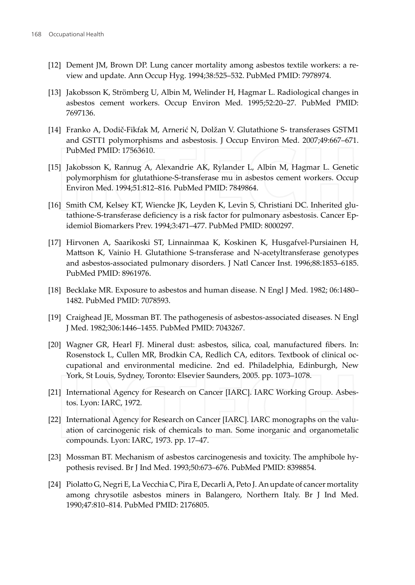- [12] Dement JM, Brown DP. Lung cancer mortality among asbestos textile workers: a review and update. Ann Occup Hyg. 1994;38:525-532. PubMed PMID: 7978974.
- [13] Jakobsson K, Strömberg U, Albin M, Welinder H, Hagmar L. Radiological changes in asbestos cement workers. Occup Environ Med. 1995:52:20-27. PubMed PMID: 7697136.
- [14] Franko A, Dodič-Fikfak M, Arnerić N, Dolžan V. Glutathione S- transferases GSTM1 and GSTT1 polymorphisms and asbestosis. J Occup Environ Med. 2007;49:667-671. PubMed PMID: 17563610.
- [15] Jakobsson K, Rannug A, Alexandrie AK, Rylander L, Albin M, Hagmar L. Genetic polymorphism for glutathione-S-transferase mu in asbestos cement workers. Occup Environ Med. 1994;51:812-816. PubMed PMID: 7849864.
- [16] Smith CM, Kelsey KT, Wiencke JK, Leyden K, Levin S, Christiani DC. Inherited glutathione-S-transferase deficiency is a risk factor for pulmonary asbestosis. Cancer Epidemiol Biomarkers Prev. 1994;3:471-477. PubMed PMID: 8000297.
- [17] Hirvonen A, Saarikoski ST, Linnainmaa K, Koskinen K, Husgafvel-Pursiainen H, Mattson K, Vainio H. Glutathione S-transferase and N-acetyltransferase genotypes and asbestos-associated pulmonary disorders. J Natl Cancer Inst. 1996;88:1853–6185. PubMed PMID: 8961976.
- [18] Becklake MR. Exposure to asbestos and human disease. N Engl J Med. 1982; 06:1480-1482. PubMed PMID: 7078593.
- [19] Craighead JE, Mossman BT. The pathogenesis of asbestos-associated diseases. N Engl J Med. 1982;306:1446-1455. PubMed PMID: 7043267.
- [20] Wagner GR, Hearl FJ. Mineral dust: asbestos, silica, coal, manufactured fibers. In: Rosenstock L, Cullen MR, Brodkin CA, Redlich CA, editors. Textbook of clinical occupational and environmental medicine. 2nd ed. Philadelphia, Edinburgh, New York, St Louis, Sydney, Toronto: Elsevier Saunders, 2005. pp. 1073-1078.
- [21] International Agency for Research on Cancer [IARC]. IARC Working Group. Asbestos. Lyon: IARC, 1972.
- [22] International Agency for Research on Cancer [IARC]. IARC monographs on the valuation of carcinogenic risk of chemicals to man. Some inorganic and organometalic compounds. Lyon: IARC, 1973. pp. 17-47.
- [23] Mossman BT. Mechanism of asbestos carcinogenesis and toxicity. The amphibole hypothesis revised. Br J Ind Med. 1993;50:673-676. PubMed PMID: 8398854.
- [24] Piolatto G, Negri E, La Vecchia C, Pira E, Decarli A, Peto J. An update of cancer mortality among chrysotile asbestos miners in Balangero, Northern Italy. Br J Ind Med. 1990;47:810-814. PubMed PMID: 2176805.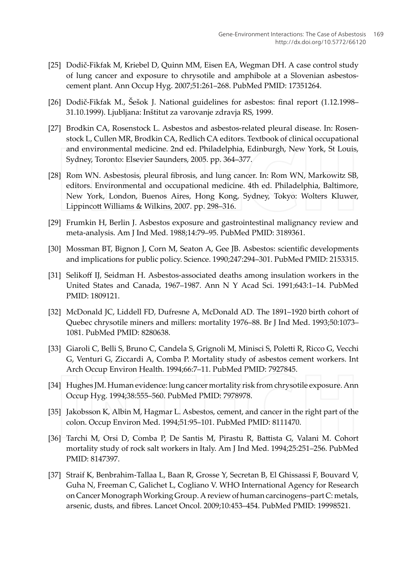- [25] Dodič-Fikfak M, Kriebel D, Quinn MM, Eisen EA, Wegman DH. A case control study of lung cancer and exposure to chrysotile and amphibole at a Slovenian asbestoscement plant. Ann Occup Hyg. 2007;51:261-268. PubMed PMID: 17351264.
- [26] Dodič-Fikfak M., Šešok J. National guidelines for asbestos: final report (1.12.1998– 31.10.1999). Ljubljana: Inštitut za varovanje zdravja RS, 1999.
- [27] Brodkin CA, Rosenstock L. Asbestos and asbestos-related pleural disease. In: Rosenstock L, Cullen MR, Brodkin CA, Redlich CA editors. Textbook of clinical occupational and environmental medicine. 2nd ed. Philadelphia, Edinburgh, New York, St Louis, Sydney, Toronto: Elsevier Saunders, 2005. pp. 364-377.
- [28] Rom WN. Asbestosis, pleural fibrosis, and lung cancer. In: Rom WN, Markowitz SB, editors. Environmental and occupational medicine. 4th ed. Philadelphia, Baltimore, New York, London, Buenos Aires, Hong Kong, Sydney, Tokyo: Wolters Kluwer, Lippincott Williams & Wilkins, 2007. pp. 298-316.
- [29] Frumkin H, Berlin J. Asbestos exposure and gastrointestinal malignancy review and meta-analysis. Am J Ind Med. 1988;14:79-95. PubMed PMID: 3189361.
- [30] Mossman BT, Bignon J, Corn M, Seaton A, Gee JB. Asbestos: scientific developments and implications for public policy. Science. 1990;247:294-301. PubMed PMID: 2153315.
- [31] Selikoff IJ, Seidman H. Asbestos-associated deaths among insulation workers in the United States and Canada, 1967-1987. Ann N Y Acad Sci. 1991;643:1-14. PubMed PMID: 1809121.
- [32] McDonald JC, Liddell FD, Dufresne A, McDonald AD. The 1891-1920 birth cohort of Quebec chrysotile miners and millers: mortality 1976-88. Br J Ind Med. 1993;50:1073-1081. PubMed PMID: 8280638.
- [33] Giaroli C, Belli S, Bruno C, Candela S, Grignoli M, Minisci S, Poletti R, Ricco G, Vecchi G, Venturi G, Ziccardi A, Comba P. Mortality study of asbestos cement workers. Int Arch Occup Environ Health. 1994;66:7-11. PubMed PMID: 7927845.
- [34] Hughes JM. Human evidence: lung cancer mortality risk from chrysotile exposure. Ann Occup Hyg. 1994;38:555-560. PubMed PMID: 7978978.
- [35] Jakobsson K, Albin M, Hagmar L. Asbestos, cement, and cancer in the right part of the colon. Occup Environ Med. 1994;51:95-101. PubMed PMID: 8111470.
- [36] Tarchi M, Orsi D, Comba P, De Santis M, Pirastu R, Battista G, Valani M. Cohort mortality study of rock salt workers in Italy. Am J Ind Med. 1994;25:251-256. PubMed PMID: 8147397.
- [37] Straif K, Benbrahim-Tallaa L, Baan R, Grosse Y, Secretan B, El Ghissassi F, Bouvard V, Guha N, Freeman C, Galichet L, Cogliano V. WHO International Agency for Research on Cancer Monograph Working Group. A review of human carcinogens-part C: metals, arsenic, dusts, and fibres. Lancet Oncol. 2009;10:453-454. PubMed PMID: 19998521.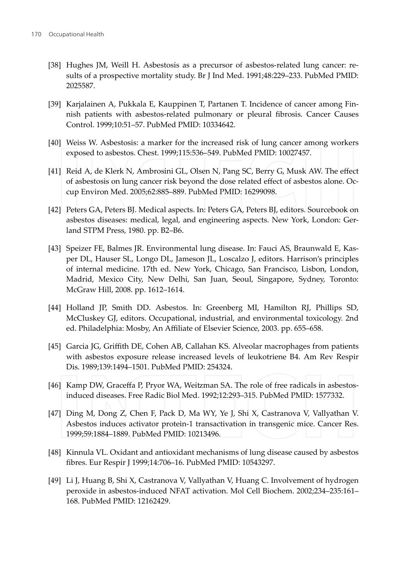- [38] Hughes JM, Weill H. Asbestosis as a precursor of asbestos-related lung cancer: results of a prospective mortality study. Br J Ind Med. 1991;48:229-233. PubMed PMID: 2025587.
- [39] Karjalainen A, Pukkala E, Kauppinen T, Partanen T. Incidence of cancer among Finnish patients with asbestos-related pulmonary or pleural fibrosis. Cancer Causes Control. 1999;10:51-57. PubMed PMID: 10334642.
- [40] Weiss W. Asbestosis: a marker for the increased risk of lung cancer among workers exposed to asbestos. Chest. 1999;115:536-549. PubMed PMID: 10027457.
- [41] Reid A, de Klerk N, Ambrosini GL, Olsen N, Pang SC, Berry G, Musk AW. The effect of asbestosis on lung cancer risk beyond the dose related effect of asbestos alone. Occup Environ Med. 2005;62:885-889. PubMed PMID: 16299098.
- [42] Peters GA, Peters BJ. Medical aspects. In: Peters GA, Peters BJ, editors. Sourcebook on asbestos diseases: medical, legal, and engineering aspects. New York, London: Gerland STPM Press, 1980. pp. B2-B6.
- [43] Speizer FE, Balmes JR. Environmental lung disease. In: Fauci AS, Braunwald E, Kasper DL, Hauser SL, Longo DL, Jameson JL, Loscalzo J, editors. Harrison's principles of internal medicine. 17th ed. New York, Chicago, San Francisco, Lisbon, London, Madrid, Mexico City, New Delhi, San Juan, Seoul, Singapore, Sydney, Toronto: McGraw Hill, 2008. pp. 1612-1614.
- [44] Holland JP, Smith DD. Asbestos. In: Greenberg MI, Hamilton RJ, Phillips SD, McCluskey GJ, editors. Occupational, industrial, and environmental toxicology. 2nd ed. Philadelphia: Mosby, An Affiliate of Elsevier Science, 2003. pp. 655-658.
- [45] Garcia JG, Griffith DE, Cohen AB, Callahan KS. Alveolar macrophages from patients with asbestos exposure release increased levels of leukotriene B4. Am Rev Respir Dis. 1989;139:1494-1501. PubMed PMID: 254324.
- [46] Kamp DW, Graceffa P, Pryor WA, Weitzman SA. The role of free radicals in asbestosinduced diseases. Free Radic Biol Med. 1992;12:293-315. PubMed PMID: 1577332.
- [47] Ding M, Dong Z, Chen F, Pack D, Ma WY, Ye J, Shi X, Castranova V, Vallyathan V. Asbestos induces activator protein-1 transactivation in transgenic mice. Cancer Res. 1999;59:1884-1889. PubMed PMID: 10213496.
- [48] Kinnula VL. Oxidant and antioxidant mechanisms of lung disease caused by asbestos fibres. Eur Respir J 1999;14:706-16. PubMed PMID: 10543297.
- [49] Li J, Huang B, Shi X, Castranova V, Vallyathan V, Huang C. Involvement of hydrogen peroxide in asbestos-induced NFAT activation. Mol Cell Biochem. 2002;234-235:161-168. PubMed PMID: 12162429.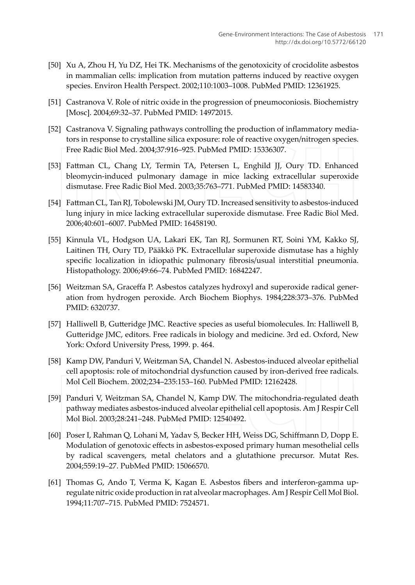- [50] Xu A, Zhou H, Yu DZ, Hei TK. Mechanisms of the genotoxicity of crocidolite asbestos in mammalian cells: implication from mutation patterns induced by reactive oxygen species. Environ Health Perspect. 2002;110:1003-1008. PubMed PMID: 12361925.
- [51] Castranova V. Role of nitric oxide in the progression of pneumoconiosis. Biochemistry [Mosc]. 2004;69:32-37. PubMed PMID: 14972015.
- [52] Castranova V. Signaling pathways controlling the production of inflammatory mediators in response to crystalline silica exposure: role of reactive oxygen/nitrogen species. Free Radic Biol Med. 2004;37:916-925. PubMed PMID: 15336307.
- [53] Fattman CL, Chang LY, Termin TA, Petersen L, Enghild JJ, Oury TD. Enhanced bleomycin-induced pulmonary damage in mice lacking extracellular superoxide dismutase. Free Radic Biol Med. 2003;35:763-771. PubMed PMID: 14583340.
- [54] Fattman CL, Tan RJ, Tobolewski JM, Oury TD. Increased sensitivity to asbestos-induced lung injury in mice lacking extracellular superoxide dismutase. Free Radic Biol Med. 2006;40:601-6007. PubMed PMID: 16458190.
- [55] Kinnula VL, Hodgson UA, Lakari EK, Tan RJ, Sormunen RT, Soini YM, Kakko SJ, Laitinen TH, Oury TD, Pääkkö PK. Extracellular superoxide dismutase has a highly specific localization in idiopathic pulmonary fibrosis/usual interstitial pneumonia. Histopathology. 2006;49:66-74. PubMed PMID: 16842247.
- [56] Weitzman SA, Graceffa P. Asbestos catalyzes hydroxyl and superoxide radical generation from hydrogen peroxide. Arch Biochem Biophys. 1984;228:373-376. PubMed PMID: 6320737.
- [57] Halliwell B, Gutteridge JMC. Reactive species as useful biomolecules. In: Halliwell B, Gutteridge JMC, editors. Free radicals in biology and medicine. 3rd ed. Oxford, New York: Oxford University Press, 1999. p. 464.
- [58] Kamp DW, Panduri V, Weitzman SA, Chandel N. Asbestos-induced alveolar epithelial cell apoptosis: role of mitochondrial dysfunction caused by iron-derived free radicals. Mol Cell Biochem. 2002;234-235:153-160. PubMed PMID: 12162428.
- [59] Panduri V, Weitzman SA, Chandel N, Kamp DW. The mitochondria-regulated death pathway mediates asbestos-induced alveolar epithelial cell apoptosis. Am J Respir Cell Mol Biol. 2003;28:241-248. PubMed PMID: 12540492.
- [60] Poser I, Rahman Q, Lohani M, Yadav S, Becker HH, Weiss DG, Schiffmann D, Dopp E. Modulation of genotoxic effects in asbestos-exposed primary human mesothelial cells by radical scavengers, metal chelators and a glutathione precursor. Mutat Res. 2004;559:19-27. PubMed PMID: 15066570.
- [61] Thomas G, Ando T, Verma K, Kagan E. Asbestos fibers and interferon-gamma upregulate nitric oxide production in rat alveolar macrophages. Am J Respir Cell Mol Biol. 1994;11:707-715. PubMed PMID: 7524571.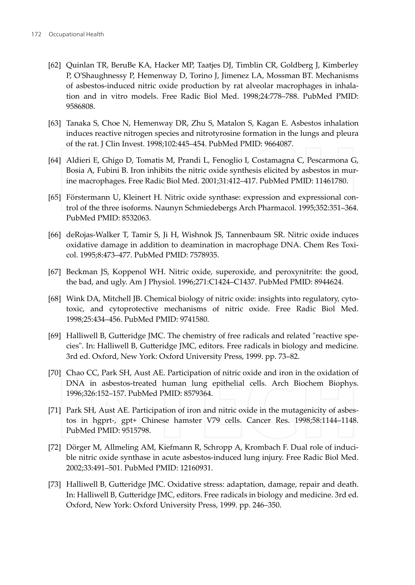- [62] Quinlan TR, BeruBe KA, Hacker MP, Taatjes DJ, Timblin CR, Goldberg J, Kimberley P, O'Shaughnessy P, Hemenway D, Torino J, Jimenez LA, Mossman BT. Mechanisms of asbestos-induced nitric oxide production by rat alveolar macrophages in inhalation and in vitro models. Free Radic Biol Med. 1998;24:778-788. PubMed PMID: 9586808
- [63] Tanaka S, Choe N, Hemenway DR, Zhu S, Matalon S, Kagan E. Asbestos inhalation induces reactive nitrogen species and nitrotyrosine formation in the lungs and pleura of the rat. J Clin Invest. 1998;102:445-454. PubMed PMID: 9664087.
- [64] Aldieri E, Ghigo D, Tomatis M, Prandi L, Fenoglio I, Costamagna C, Pescarmona G, Bosia A, Fubini B. Iron inhibits the nitric oxide synthesis elicited by asbestos in murine macrophages. Free Radic Biol Med. 2001;31:412-417. PubMed PMID: 11461780.
- [65] Förstermann U, Kleinert H. Nitric oxide synthase: expression and expressional control of the three isoforms. Naunyn Schmiedebergs Arch Pharmacol. 1995;352:351-364. PubMed PMID: 8532063.
- [66] deRojas-Walker T, Tamir S, Ji H, Wishnok JS, Tannenbaum SR. Nitric oxide induces oxidative damage in addition to deamination in macrophage DNA. Chem Res Toxicol. 1995;8:473-477. PubMed PMID: 7578935.
- [67] Beckman JS, Koppenol WH. Nitric oxide, superoxide, and peroxynitrite: the good, the bad, and ugly. Am J Physiol. 1996;271:C1424-C1437. PubMed PMID: 8944624.
- [68] Wink DA, Mitchell JB. Chemical biology of nitric oxide: insights into regulatory, cytotoxic, and cytoprotective mechanisms of nitric oxide. Free Radic Biol Med. 1998;25:434-456. PubMed PMID: 9741580.
- [69] Halliwell B, Gutteridge JMC. The chemistry of free radicals and related "reactive species". In: Halliwell B, Gutteridge JMC, editors. Free radicals in biology and medicine. 3rd ed. Oxford, New York: Oxford University Press, 1999. pp. 73-82.
- [70] Chao CC, Park SH, Aust AE. Participation of nitric oxide and iron in the oxidation of DNA in asbestos-treated human lung epithelial cells. Arch Biochem Biophys. 1996;326:152-157. PubMed PMID: 8579364.
- [71] Park SH, Aust AE. Participation of iron and nitric oxide in the mutagenicity of asbestos in hgprt-, gpt+ Chinese hamster V79 cells. Cancer Res. 1998;58:1144-1148. PubMed PMID: 9515798.
- [72] Dörger M, Allmeling AM, Kiefmann R, Schropp A, Krombach F. Dual role of inducible nitric oxide synthase in acute asbestos-induced lung injury. Free Radic Biol Med. 2002;33:491-501. PubMed PMID: 12160931.
- [73] Halliwell B, Gutteridge JMC. Oxidative stress: adaptation, damage, repair and death. In: Halliwell B, Gutteridge JMC, editors. Free radicals in biology and medicine. 3rd ed. Oxford, New York: Oxford University Press, 1999. pp. 246-350.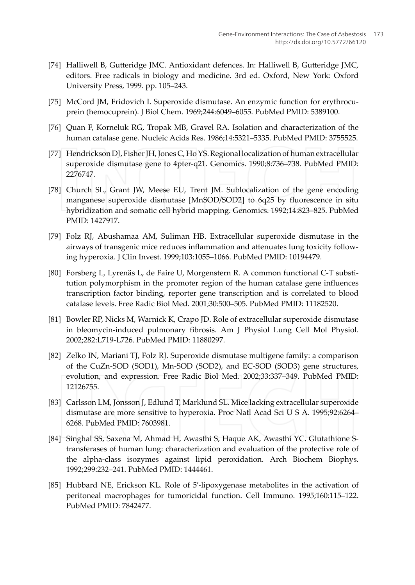- [74] Halliwell B, Gutteridge JMC. Antioxidant defences. In: Halliwell B, Gutteridge JMC, editors. Free radicals in biology and medicine. 3rd ed. Oxford, New York: Oxford University Press, 1999. pp. 105-243.
- [75] McCord JM, Fridovich I. Superoxide dismutase. An enzymic function for erythrocuprein (hemocuprein). J Biol Chem. 1969;244:6049-6055. PubMed PMID: 5389100.
- [76] Quan F, Korneluk RG, Tropak MB, Gravel RA. Isolation and characterization of the human catalase gene. Nucleic Acids Res. 1986;14:5321-5335. PubMed PMID: 3755525.
- [77] Hendrickson DJ, Fisher JH, Jones C, Ho YS. Regional localization of human extracellular superoxide dismutase gene to 4pter-q21. Genomics. 1990;8:736-738. PubMed PMID: 2276747.
- [78] Church SL, Grant JW, Meese EU, Trent JM. Sublocalization of the gene encoding manganese superoxide dismutase [MnSOD/SOD2] to 6q25 by fluorescence in situ hybridization and somatic cell hybrid mapping. Genomics. 1992;14:823-825. PubMed PMID: 1427917.
- [79] Folz RJ, Abushamaa AM, Suliman HB. Extracellular superoxide dismutase in the airways of transgenic mice reduces inflammation and attenuates lung toxicity following hyperoxia. J Clin Invest. 1999;103:1055-1066. PubMed PMID: 10194479.
- [80] Forsberg L, Lyrenäs L, de Faire U, Morgenstern R. A common functional C-T substitution polymorphism in the promoter region of the human catalase gene influences transcription factor binding, reporter gene transcription and is correlated to blood catalase levels. Free Radic Biol Med. 2001;30:500-505. PubMed PMID: 11182520.
- [81] Bowler RP, Nicks M, Warnick K, Crapo JD. Role of extracellular superoxide dismutase in bleomycin-induced pulmonary fibrosis. Am J Physiol Lung Cell Mol Physiol. 2002;282:L719-L726. PubMed PMID: 11880297.
- [82] Zelko IN, Mariani TJ, Folz RJ. Superoxide dismutase multigene family: a comparison of the CuZn-SOD (SOD1), Mn-SOD (SOD2), and EC-SOD (SOD3) gene structures, evolution, and expression. Free Radic Biol Med. 2002;33:337-349. PubMed PMID: 12126755.
- [83] Carlsson LM, Jonsson J, Edlund T, Marklund SL. Mice lacking extracellular superoxide dismutase are more sensitive to hyperoxia. Proc Natl Acad Sci U S A. 1995;92:6264-6268. PubMed PMID: 7603981.
- [84] Singhal SS, Saxena M, Ahmad H, Awasthi S, Haque AK, Awasthi YC. Glutathione Stransferases of human lung: characterization and evaluation of the protective role of the alpha-class isozymes against lipid peroxidation. Arch Biochem Biophys. 1992;299:232-241. PubMed PMID: 1444461.
- [85] Hubbard NE, Erickson KL. Role of 5'-lipoxygenase metabolites in the activation of peritoneal macrophages for tumoricidal function. Cell Immuno. 1995;160:115-122. PubMed PMID: 7842477.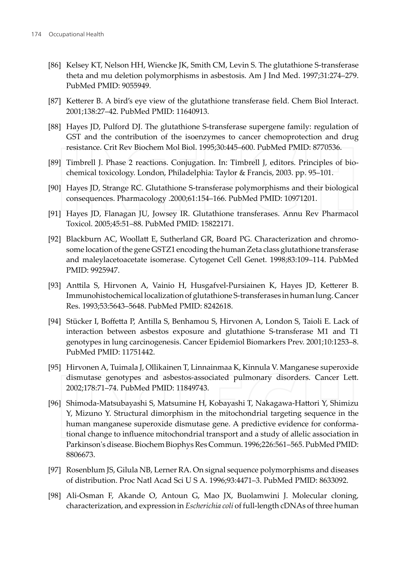- [86] Kelsey KT, Nelson HH, Wiencke JK, Smith CM, Levin S. The glutathione S-transferase theta and mu deletion polymorphisms in asbestosis. Am J Ind Med. 1997;31:274-279. PubMed PMID: 9055949.
- [87] Ketterer B. A bird's eye view of the glutathione transferase field. Chem Biol Interact. 2001;138:27-42. PubMed PMID: 11640913.
- [88] Hayes JD, Pulford DJ. The glutathione S-transferase supergene family: regulation of GST and the contribution of the isoenzymes to cancer chemoprotection and drug resistance. Crit Rev Biochem Mol Biol. 1995;30:445-600. PubMed PMID: 8770536.
- [89] Timbrell J. Phase 2 reactions. Conjugation. In: Timbrell J, editors. Principles of biochemical toxicology. London, Philadelphia: Taylor & Francis, 2003. pp. 95-101.
- [90] Hayes JD, Strange RC. Glutathione S-transferase polymorphisms and their biological consequences. Pharmacology .2000;61:154-166. PubMed PMID: 10971201.
- [91] Hayes JD, Flanagan JU, Jowsey IR. Glutathione transferases. Annu Rev Pharmacol Toxicol. 2005;45:51-88. PubMed PMID: 15822171.
- [92] Blackburn AC, Woollatt E, Sutherland GR, Board PG. Characterization and chromosome location of the gene GSTZ1 encoding the human Zeta class glutathione transferase and maleylacetoacetate isomerase. Cytogenet Cell Genet. 1998;83:109-114. PubMed PMID: 9925947.
- [93] Anttila S, Hirvonen A, Vainio H, Husgafvel-Pursiainen K, Hayes JD, Ketterer B. Immunohistochemical localization of glutathione S-transferases in human lung. Cancer Res. 1993;53:5643-5648. PubMed PMID: 8242618.
- [94] Stücker I, Boffetta P, Antilla S, Benhamou S, Hirvonen A, London S, Taioli E. Lack of interaction between asbestos exposure and glutathione S-transferase M1 and T1 genotypes in lung carcinogenesis. Cancer Epidemiol Biomarkers Prev. 2001;10:1253-8. PubMed PMID: 11751442.
- [95] Hirvonen A, Tuimala J, Ollikainen T, Linnainmaa K, Kinnula V. Manganese superoxide dismutase genotypes and asbestos-associated pulmonary disorders. Cancer Lett. 2002;178:71-74. PubMed PMID: 11849743.
- [96] Shimoda-Matsubayashi S, Matsumine H, Kobayashi T, Nakagawa-Hattori Y, Shimizu Y, Mizuno Y. Structural dimorphism in the mitochondrial targeting sequence in the human manganese superoxide dismutase gene. A predictive evidence for conformational change to influence mitochondrial transport and a study of allelic association in Parkinson's disease. Biochem Biophys Res Commun. 1996;226:561-565. PubMed PMID: 8806673.
- [97] Rosenblum JS, Gilula NB, Lerner RA. On signal sequence polymorphisms and diseases of distribution. Proc Natl Acad Sci U S A. 1996;93:4471-3. PubMed PMID: 8633092.
- [98] Ali-Osman F, Akande O, Antoun G, Mao JX, Buolamwini J. Molecular cloning, characterization, and expression in *Escherichia coli* of full-length cDNAs of three human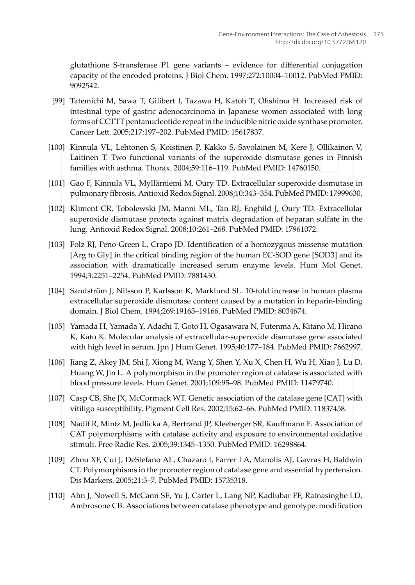glutathione S-transferase P1 gene variants – evidence for differential conjugation capacity of the encoded proteins. J Biol Chem. 1997;272:10004-10012. PubMed PMID: 9092542.

- [99] Tatemichi M, Sawa T, Gilibert I, Tazawa H, Katoh T, Ohshima H. Increased risk of intestinal type of gastric adenocarcinoma in Japanese women associated with long forms of CCTTT pentanucleotide repeat in the inducible nitric oxide synthase promoter. Cancer Lett. 2005;217:197-202. PubMed PMID: 15617837.
- [100] Kinnula VL, Lehtonen S, Koistinen P, Kakko S, Savolainen M, Kere J, Ollikainen V, Laitinen T. Two functional variants of the superoxide dismutase genes in Finnish families with asthma. Thorax. 2004;59:116-119. PubMed PMID: 14760150.
- [101] Gao F, Kinnula VL, Myllärniemi M, Oury TD. Extracellular superoxide dismutase in pulmonary fibrosis. Antioxid Redox Signal. 2008;10:343-354. PubMed PMID: 17999630.
- [102] Kliment CR, Tobolewski JM, Manni ML, Tan RJ, Enghild J, Oury TD. Extracellular superoxide dismutase protects against matrix degradation of heparan sulfate in the lung. Antioxid Redox Signal. 2008;10:261-268. PubMed PMID: 17961072.
- [103] Folz RJ, Peno-Green L, Crapo JD. Identification of a homozygous missense mutation [Arg to Gly] in the critical binding region of the human EC-SOD gene [SOD3] and its association with dramatically increased serum enzyme levels. Hum Mol Genet. 1994;3:2251-2254. PubMed PMID: 7881430.
- [104] Sandström J, Nilsson P, Karlsson K, Marklund SL. 10-fold increase in human plasma extracellular superoxide dismutase content caused by a mutation in heparin-binding domain. J Biol Chem. 1994;269:19163-19166. PubMed PMID: 8034674.
- [105] Yamada H, Yamada Y, Adachi T, Goto H, Ogasawara N, Futenma A, Kitano M, Hirano K, Kato K. Molecular analysis of extracellular-superoxide dismutase gene associated with high level in serum. Jpn J Hum Genet. 1995;40:177-184. PubMed PMID: 7662997.
- [106] Jiang Z, Akey JM, Shi J, Xiong M, Wang Y, Shen Y, Xu X, Chen H, Wu H, Xiao J, Lu D, Huang W, Jin L. A polymorphism in the promoter region of catalase is associated with blood pressure levels. Hum Genet. 2001;109:95-98. PubMed PMID: 11479740.
- [107] Casp CB, She JX, McCormack WT. Genetic association of the catalase gene [CAT] with vitiligo susceptibility. Pigment Cell Res. 2002;15:62-66. PubMed PMID: 11837458.
- [108] Nadif R, Mintz M, Jedlicka A, Bertrand JP, Kleeberger SR, Kauffmann F. Association of CAT polymorphisms with catalase activity and exposure to environmental oxidative stimuli. Free Radic Res. 2005;39:1345-1350. PubMed PMID: 16298864.
- [109] Zhou XF, Cui J, DeStefano AL, Chazaro I, Farrer LA, Manolis AJ, Gavras H, Baldwin CT. Polymorphisms in the promoter region of catalase gene and essential hypertension. Dis Markers. 2005;21:3-7. PubMed PMID: 15735318.
- [110] Ahn J, Nowell S, McCann SE, Yu J, Carter L, Lang NP, Kadlubar FF, Ratnasinghe LD, Ambrosone CB. Associations between catalase phenotype and genotype: modification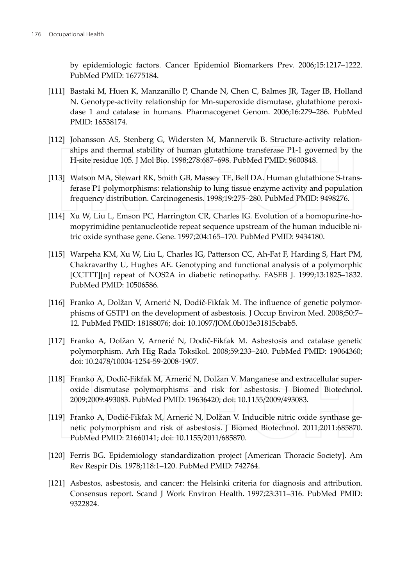by epidemiologic factors. Cancer Epidemiol Biomarkers Prev. 2006;15:1217-1222. PubMed PMID: 16775184

- [111] Bastaki M, Huen K, Manzanillo P, Chande N, Chen C, Balmes JR, Tager IB, Holland N. Genotype-activity relationship for Mn-superoxide dismutase, glutathione peroxidase 1 and catalase in humans. Pharmacogenet Genom. 2006;16:279-286. PubMed PMID: 16538174.
- [112] Johansson AS, Stenberg G, Widersten M, Mannervik B. Structure-activity relationships and thermal stability of human glutathione transferase P1-1 governed by the H-site residue 105. J Mol Bio. 1998;278:687-698. PubMed PMID: 9600848.
- [113] Watson MA, Stewart RK, Smith GB, Massey TE, Bell DA. Human glutathione S-transferase P1 polymorphisms: relationship to lung tissue enzyme activity and population frequency distribution. Carcinogenesis. 1998;19:275-280. PubMed PMID: 9498276.
- [114] Xu W, Liu L, Emson PC, Harrington CR, Charles IG. Evolution of a homopurine-homopyrimidine pentanucleotide repeat sequence upstream of the human inducible nitric oxide synthase gene. Gene. 1997;204:165-170. PubMed PMID: 9434180.
- [115] Warpeha KM, Xu W, Liu L, Charles IG, Patterson CC, Ah-Fat F, Harding S, Hart PM, Chakravarthy U, Hughes AE. Genotyping and functional analysis of a polymorphic [CCTTT][n] repeat of NOS2A in diabetic retinopathy. FASEB J. 1999;13:1825–1832. PubMed PMID: 10506586.
- [116] Franko A, Dolžan V, Arnerić N, Dodič-Fikfak M. The influence of genetic polymorphisms of GSTP1 on the development of asbestosis. J Occup Environ Med. 2008;50:7-12. PubMed PMID: 18188076; doi: 10.1097/JOM.0b013e31815cbab5.
- [117] Franko A, Dolžan V, Arnerić N, Dodič-Fikfak M. Asbestosis and catalase genetic polymorphism. Arh Hig Rada Toksikol. 2008;59:233-240. PubMed PMID: 19064360; doi: 10.2478/10004-1254-59-2008-1907.
- [118] Franko A, Dodič-Fikfak M, Arnerić N, Dolžan V. Manganese and extracellular superoxide dismutase polymorphisms and risk for asbestosis. J Biomed Biotechnol. 2009;2009:493083. PubMed PMID: 19636420; doi: 10.1155/2009/493083.
- [119] Franko A, Dodič-Fikfak M, Arnerić N, Dolžan V. Inducible nitric oxide synthase genetic polymorphism and risk of asbestosis. J Biomed Biotechnol. 2011;2011:685870. PubMed PMID: 21660141; doi: 10.1155/2011/685870.
- [120] Ferris BG. Epidemiology standardization project [American Thoracic Society]. Am Rev Respir Dis. 1978;118:1-120. PubMed PMID: 742764.
- [121] Asbestos, asbestosis, and cancer: the Helsinki criteria for diagnosis and attribution. Consensus report. Scand J Work Environ Health. 1997;23:311-316. PubMed PMID: 9322824.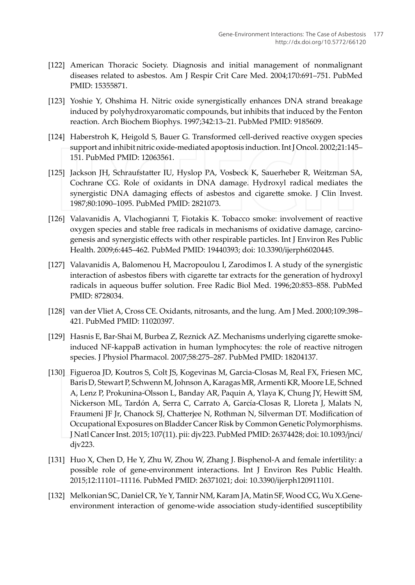- [122] American Thoracic Society. Diagnosis and initial management of nonmalignant diseases related to asbestos. Am J Respir Crit Care Med. 2004;170:691-751. PubMed PMID: 15355871.
- [123] Yoshie Y, Ohshima H. Nitric oxide synergistically enhances DNA strand breakage induced by polyhydroxyaromatic compounds, but inhibits that induced by the Fenton reaction. Arch Biochem Biophys. 1997;342:13-21. PubMed PMID: 9185609.
- [124] Haberstroh K, Heigold S, Bauer G. Transformed cell-derived reactive oxygen species support and inhibit nitric oxide-mediated apoptosis induction. Int J Oncol. 2002;21:145-151. PubMed PMID: 12063561.
- [125] Jackson JH, Schraufstatter IU, Hyslop PA, Vosbeck K, Sauerheber R, Weitzman SA, Cochrane CG. Role of oxidants in DNA damage. Hydroxyl radical mediates the synergistic DNA damaging effects of asbestos and cigarette smoke. J Clin Invest. 1987;80:1090-1095. PubMed PMID: 2821073.
- [126] Valavanidis A, Vlachogianni T, Fiotakis K. Tobacco smoke: involvement of reactive oxygen species and stable free radicals in mechanisms of oxidative damage, carcinogenesis and synergistic effects with other respirable particles. Int J Environ Res Public Health. 2009;6:445-462. PubMed PMID: 19440393; doi: 10.3390/ijerph6020445.
- [127] Valavanidis A, Balomenou H, Macropoulou I, Zarodimos I. A study of the synergistic interaction of asbestos fibers with cigarette tar extracts for the generation of hydroxyl radicals in aqueous buffer solution. Free Radic Biol Med. 1996;20:853-858. PubMed PMID: 8728034.
- [128] van der Vliet A, Cross CE. Oxidants, nitrosants, and the lung. Am J Med. 2000;109:398– 421. PubMed PMID: 11020397.
- [129] Hasnis E, Bar-Shai M, Burbea Z, Reznick AZ. Mechanisms underlying cigarette smokeinduced NF-kappaB activation in human lymphocytes: the role of reactive nitrogen species. J Physiol Pharmacol. 2007;58:275-287. PubMed PMID: 18204137.
- [130] Figueroa JD, Koutros S, Colt JS, Kogevinas M, Garcia-Closas M, Real FX, Friesen MC, Baris D, Stewart P, Schwenn M, Johnson A, Karagas MR, Armenti KR, Moore LE, Schned A, Lenz P, Prokunina-Olsson L, Banday AR, Paquin A, Ylaya K, Chung JY, Hewitt SM, Nickerson ML, Tardón A, Serra C, Carrato A, García-Closas R, Lloreta J, Malats N, Fraumeni JF Jr, Chanock SJ, Chatterjee N, Rothman N, Silverman DT. Modification of Occupational Exposures on Bladder Cancer Risk by Common Genetic Polymorphisms. J Natl Cancer Inst. 2015; 107(11). pii: djv223. PubMed PMID: 26374428; doi: 10.1093/jnci/  $div223$ .
- [131] Huo X, Chen D, He Y, Zhu W, Zhou W, Zhang J. Bisphenol-A and female infertility: a possible role of gene-environment interactions. Int J Environ Res Public Health. 2015;12:11101-11116. PubMed PMID: 26371021; doi: 10.3390/ijerph120911101.
- [132] Melkonian SC, Daniel CR, Ye Y, Tannir NM, Karam JA, Matin SF, Wood CG, Wu X.Geneenvironment interaction of genome-wide association study-identified susceptibility